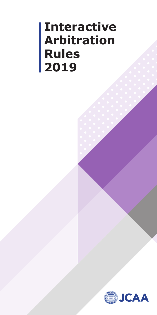# **Interactive Arbitration Rules 2019**

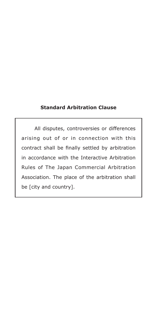## **Standard Arbitration Clause**

 All disputes, controversies or differences arising out of or in connection with this contract shall be finally settled by arbitration in accordance with the Interactive Arbitration Rules of The Japan Commercial Arbitration Association. The place of the arbitration shall be [city and country].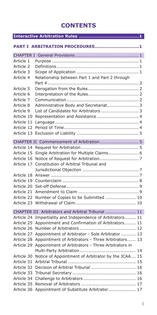# **CONTENTS**

|                        | PART I ARBITRATION PROCEDURES1                      |
|------------------------|-----------------------------------------------------|
|                        |                                                     |
| Article 1              |                                                     |
| Article 2              |                                                     |
| Article 3              |                                                     |
| Article 4              | Relationship between Part 1 and Part 2 through      |
| Article 5              |                                                     |
|                        |                                                     |
| Article 6<br>Article 7 |                                                     |
|                        |                                                     |
| Article 8              | Administrative Body and Secretariat 3               |
| Article 9              | List of Candidates for Arbitrators  3               |
| Article 10             | Representation and Assistance  4                    |
| Article 11             |                                                     |
| Article 12             |                                                     |
| Article 13             |                                                     |
|                        |                                                     |
| Article 14             |                                                     |
| Article 15             | Single Arbitration for Multiple Claims 6            |
| Article 16             |                                                     |
| Article 17             | Constitution of Arbitral Tribunal and               |
|                        |                                                     |
| Article 18             |                                                     |
| Article 19             |                                                     |
| Article 20             |                                                     |
| Article 21             |                                                     |
| Article 22             | Number of Copies to be Submitted  10                |
| Article 23             |                                                     |
|                        | CHAPTER III Arbitrators and Arbitral Tribunal  11   |
| Article 24             | Impartiality and Independence of Arbitrators 11     |
| Article 25             | Appointment and Confirmation of Arbitrators 11      |
| Article 26             |                                                     |
| Article 27             | Appointment of Arbitrator - Sole Arbitrator  13     |
| Article 28             | Appointment of Arbitrators - Three Arbitrators 13   |
| Article 29             | Appointment of Arbitrators - Three Arbitrators in   |
|                        |                                                     |
| Article 30             | Notice of Appointment of Arbitrator by the JCAA  15 |
| Article 31             |                                                     |
| Article 32             | Decision of Arbitral Tribunal  16                   |
| Article 33             |                                                     |
| Article 34             |                                                     |
| Article 35             |                                                     |
| Article 36             | Appointment of Substitute Arbitrator 17             |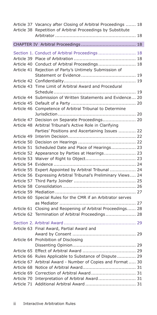| Article 38               | Article 37 Vacancy after Closing of Arbitral Proceedings  18<br>Repetition of Arbitral Proceedings by Substitute |
|--------------------------|------------------------------------------------------------------------------------------------------------------|
|                          |                                                                                                                  |
|                          | Section 1. Conduct of Arbitral Proceedings  18                                                                   |
| Article 39               |                                                                                                                  |
| Article 40               | Conduct of Arbitral Proceedings 18                                                                               |
| Article 41               | Rejection of Party's Untimely Submission of                                                                      |
|                          |                                                                                                                  |
| Article 42               |                                                                                                                  |
| Article 43               | Time Limit of Arbitral Award and Procedural                                                                      |
|                          |                                                                                                                  |
| Article 44               | Submission of Written Statements and Evidence 20                                                                 |
| Article 45               |                                                                                                                  |
| Article 46               | Competence of Arbitral Tribunal to Determine                                                                     |
|                          |                                                                                                                  |
| Article 47               | Decision on Separate Proceedings 20                                                                              |
| Article 48               | Arbitral Tribunal's Active Role in Clarifying                                                                    |
|                          | Parties' Positions and Ascertaining Issues  22                                                                   |
| Article 49               |                                                                                                                  |
| Article 50               |                                                                                                                  |
| Article 51               | Scheduled Date and Place of Hearings 23                                                                          |
| Article 52               | Appearance by Parties at Hearings 23                                                                             |
| Article 53               |                                                                                                                  |
| Article 54               |                                                                                                                  |
| Article 55               | Expert Appointed by Arbitral Tribunal  24                                                                        |
| Article 56               | Expressing Arbitral Tribunal's Preliminary Views 24                                                              |
| Article 57               |                                                                                                                  |
| Article 58               |                                                                                                                  |
| Article 59               |                                                                                                                  |
| Article 60               | Special Rules for the CMR if an Arbitrator serves                                                                |
|                          |                                                                                                                  |
|                          |                                                                                                                  |
| Article 61<br>Article 62 | Closing and Reopening of Arbitral Proceedings 28                                                                 |
|                          | Termination of Arbitral Proceedings 28                                                                           |
|                          |                                                                                                                  |
| Article 63               | Final Award, Partial Award and                                                                                   |
|                          |                                                                                                                  |
| Article 64               | Prohibition of Disclosing                                                                                        |
|                          |                                                                                                                  |
| Article 65               |                                                                                                                  |
| Article 66               | Rules Applicable to Substance of Dispute 29                                                                      |
| Article 67               | Arbitral Award - Number of Copies and Format 30                                                                  |
| Article 68               |                                                                                                                  |
| Article 69               | Correction of Arbitral Award 31                                                                                  |
| Article 70               | Interpretation of Arbitral Award 31                                                                              |
| Article 71               |                                                                                                                  |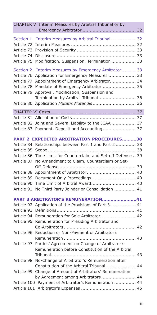| CHAPTER V Interim Measures by Arbitral Tribunal or by                                                        |                                                                                                                                                                                                                                                                               |  |
|--------------------------------------------------------------------------------------------------------------|-------------------------------------------------------------------------------------------------------------------------------------------------------------------------------------------------------------------------------------------------------------------------------|--|
| Section 1.<br>Article 72<br>Article 73<br>Article 74<br>Article 75                                           | Interim Measures by Arbitral Tribunal  32<br>Modification, Suspension, Termination 33                                                                                                                                                                                         |  |
| Article 77<br>Article 78<br>Article 79<br>Article 80                                                         | Section 2. Interim Measures by Emergency Arbitrator 33<br>Article 76 Application for Emergency Measures  33<br>Appointment of Emergency Arbitrator 34<br>Mandate of Emergency Arbitrator  35<br>Approval, Modification, Suspension and<br>Termination by Arbitral Tribunal 36 |  |
|                                                                                                              |                                                                                                                                                                                                                                                                               |  |
|                                                                                                              | Article 82 Joint and Several Liability to the JCAA 37<br>Article 83 Payment, Deposit and Accounting 37                                                                                                                                                                        |  |
| Article 84<br>Article 85<br>Article 86<br>Article 87<br>Article 88<br>Article 89<br>Article 90<br>Article 91 | <b>PART 2 EXPEDITED ARBITRATION PROCEDURES38</b><br>Relationships between Part 1 and Part 2  38<br>Time Limit for Counterclaim and Set-off Defense  39<br>No Amendment to Claim, Counterclaim or Set-<br>No Third Party Joinder or Consolidation  41                          |  |
| Article 92<br>Article 93<br>Article 94<br>Article 95                                                         | PART 3 ARBITRATOR'S REMUNERATION41<br>Application of the Provisions of Part 3 41<br>Remuneration for Sole Arbitrator  42<br>Remuneration for Presiding Arbitrator and                                                                                                         |  |
| Article 96<br>Article 97                                                                                     | Reduction or Non-Payment of Arbitrator's<br>Parties' Agreement on Change of Arbitrator's<br>Remuneration before Constitution of the Arbitral                                                                                                                                  |  |
| Article 98                                                                                                   | No-Change of Arbitrator's Remuneration after<br>Constitution of the Arbitral Tribunal 44                                                                                                                                                                                      |  |
|                                                                                                              | Article 99 Change of Amount of Arbitrators' Remuneration<br>by Agreement among Arbitrators 44                                                                                                                                                                                 |  |
|                                                                                                              | Article 100 Payment of Arbitrator's Remuneration  44                                                                                                                                                                                                                          |  |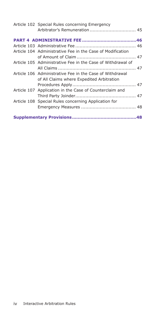|  | Article 102 Special Rules concerning Emergency              |  |
|--|-------------------------------------------------------------|--|
|  |                                                             |  |
|  |                                                             |  |
|  | Article 104 Administrative Fee in the Case of Modification  |  |
|  |                                                             |  |
|  | Article 105 Administrative Fee in the Case of Withdrawal of |  |
|  |                                                             |  |
|  | Article 106 Administrative Fee in the Case of Withdrawal    |  |
|  | of All Claims where Expedited Arbitration                   |  |
|  |                                                             |  |
|  | Article 107 Application in the Case of Counterclaim and     |  |
|  |                                                             |  |
|  | Article 108 Special Rules concerning Application for        |  |
|  |                                                             |  |
|  |                                                             |  |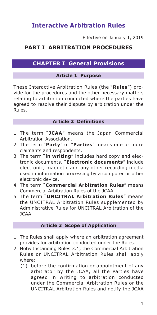# **Interactive Arbitration Rules**

Effective on January 1, 2019

# **PART I ARBITRATION PROCEDURES**

## **CHAPTER I General Provisions**

## **Article 1 Purpose**

These Interactive Arbitration Rules (the "**Rules**") provide for the procedures and the other necessary matters relating to arbitration conducted where the parties have agreed to resolve their dispute by arbitration under the Rules.

## **Article 2 Definitions**

- 1 The term "**JCAA**" means the Japan Commercial Arbitration Association.
- 2 The term "**Party**" or "**Parties**" means one or more claimants and respondents.
- 3 The term "**in writing**" includes hard copy and electronic documents. "**Electronic documents**" include electronic, magnetic and any other recording media used in information processing by a computer or other electronic device.
- 4 The term "**Commercial Arbitration Rules**" means Commercial Arbitration Rules of the JCAA.
- 5 The term "**UNCITRAL Arbitration Rules**" means the UNCITRAL Arbitration Rules supplemented by Administrative Rules for UNCITRAL Arbitration of the  $1C\Delta\Delta$

#### **Article 3 Scope of Application**

- 1 The Rules shall apply where an arbitration agreement provides for arbitration conducted under the Rules.
- 2 Notwithstanding Rules 3.1, the Commercial Arbitration Rules or UNCITRAL Arbitration Rules shall apply where:
	- (1) before the confirmation or appointment of any arbitrator by the JCAA, all the Parties have agreed in writing to arbitration conducted under the Commercial Arbitration Rules or the UNCITRAL Arbitration Rules and notify the JCAA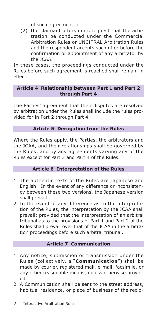of such agreement; or

(2) the claimant offers in its request that the arbitration be conducted under the Commercial Arbitration Rules or UNCITRAL Arbitration Rules and the respondent accepts such offer before the confirmation or appointment of any arbitrator by the JCAA.

In these cases, the proceedings conducted under the Rules before such agreement is reached shall remain in effect.

## **Article 4 Relationship between Part 1 and Part 2 through Part 4**

The Parties' agreement that their disputes are resolved by arbitration under the Rules shall include the rules provided for in Part 2 through Part 4.

## **Article 5 Derogation from the Rules**

Where the Rules apply, the Parties, the arbitrators and the JCAA, and their relationships shall be governed by the Rules, and by any agreements varying any of the Rules except for Part 3 and Part 4 of the Rules.

## **Article 6 Interpretation of the Rules**

- 1 The authentic texts of the Rules are Japanese and English. In the event of any difference or inconsistency between these two versions, the Japanese version shall prevail.
- 2 In the event of any difference as to the interpretation of the Rules, the interpretation by the JCAA shall prevail; provided that the interpretation of an arbitral tribunal as to the provisions of Part 1 and Part 2 of the Rules shall prevail over that of the JCAA in the arbitration proceedings before such arbitral tribunal.

## **Article 7 Communication**

- 1 Any notice, submission or transmission under the Rules (collectively, a "**Communication**") shall be made by courier, registered mail, e-mail, facsimile, or any other reasonable means, unless otherwise provided.
- 2 A Communication shall be sent to the street address, habitual residence, or place of business of the recip-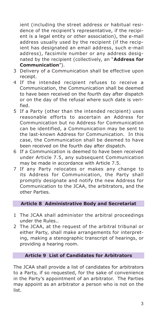ient (including the street address or habitual residence of the recipient's representative, if the recipient is a legal entity or other association), the e-mail address usually used by the recipient (if the recipient has designated an email address, such e-mail address), facsimile number or any address designated by the recipient (collectively, an "**Address for Communication**").

- 3 Delivery of a Communication shall be effective upon receipt.
- 4 If the intended recipient refuses to receive a Communication, the Communication shall be deemed to have been received on the fourth day after dispatch or on the day of the refusal where such date is verified.
- 5 If a Party (other than the intended recipient) uses reasonable efforts to ascertain an Address for Communication but no Address for Communication can be identified, a Communication may be sent to the last-known Address for Communication. In this case, the Communication shall be deemed to have been received on the fourth day after dispatch.
- 6 If a Communication is deemed to have been received under Article 7.5, any subsequent Communication may be made in accordance with Article 7.5.
- 7 If any Party relocates or makes any change to its Address for Communication, the Party shall promptly designate and notify the new Address for Communication to the JCAA, the arbitrators, and the other Parties.

## **Article 8 Administrative Body and Secretariat**

- 1 The JCAA shall administer the arbitral proceedings under the Rules..
- 2 The JCAA, at the request of the arbitral tribunal or either Party, shall make arrangements for interpreting, making a stenographic transcript of hearings, or providing a hearing room.

## **Article 9 List of Candidates for Arbitrators**

The JCAA shall provide a list of candidates for arbitrators to a Party, if so requested, for the sake of convenience in the Party's appointment of an arbitrator. The Parties may appoint as an arbitrator a person who is not on the list.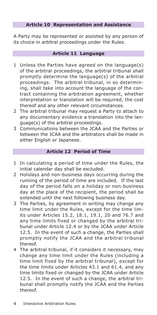## **Article 10 Representation and Assistance**

A Party may be represented or assisted by any person of its choice in arbitral proceedings under the Rules.

## **Article 11 Language**

- 1 Unless the Parties have agreed on the language(s) of the arbitral proceedings, the arbitral tribunal shall promptly determine the language(s) of the arbitral proceedings. The arbitral tribunal, in so determining, shall take into account the language of the contract containing the arbitration agreement, whether interpretation or translation will be required, the cost thereof and any other relevant circumstances.
- 2 The arbitral tribunal may request a Party to attach to any documentary evidence a translation into the language(s) of the arbitral proceedings.
- 3 Communications between the JCAA and the Parties or between the JCAA and the arbitrators shall be made in either English or Japanese.

## **Article 12 Period of Time**

- 1 In calculating a period of time under the Rules, the initial calendar day shall be excluded.
- 2 Holidays and non-business days occurring during the running of the period of time are included. If the last day of the period falls on a holiday or non-business day at the place of the recipient, the period shall be extended until the next following business day.
- 3 The Parties, by agreement in writing may change any time limit under the Rules, except for the time limits under Articles 15.2, 18.1, 19.1, 20 and 76.7 and any time limits fixed or changed by the arbitral tribunal under Article 12.4 or by the JCAA under Article 12.5. In the event of such a change, the Parties shall promptly notify the JCAA and the arbitral tribunal thereof.
- 4 The arbitral tribunal, if it considers it necessary, may change any time limit under the Rules (including a time limit fixed by the arbitral tribunal), except for the time limits under Articles 43.1 and 61.4, and any time limits fixed or changed by the JCAA under Article 12.5. In the event of such a change, the arbitral tribunal shall promptly notify the JCAA and the Parties thereof.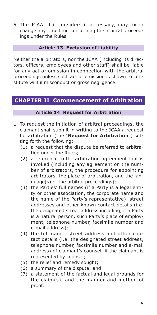5 The JCAA, if it considers it necessary, may fix or change any time limit concerning the arbitral proceedings under the Rules.

## **Article 13 Exclusion of Liability**

Neither the arbitrators, nor the JCAA (including its directors, officers, employees and other staff) shall be liable for any act or omission in connection with the arbitral proceedings unless such act or omission is shown to constitute willful misconduct or gross negligence.

## **CHAPTER II Commencement of Arbitration**

## **Article 14 Request for Arbitration**

- 1 To request the initiation of arbitral proceedings, the claimant shall submit in writing to the JCAA a request for arbitration (the "**Request for Arbitration**") setting forth the following:
	- (1) a request that the dispute be referred to arbitration under the Rules;
	- (2) a reference to the arbitration agreement that is invoked (including any agreement on the number of arbitrators, the procedure for appointing arbitrators, the place of arbitration, and the language(s) of the arbitral proceedings);
	- (3) the Parties' full names (if a Party is a legal entity or other association, the corporate name and the name of the Party's representative), street addresses and other known contact details (i.e. the designated street address including, if a Party is a natural person, such Party's place of employment, telephone number, facsimile number and e-mail address);
	- (4) the full name, street address and other contact details (i.e. the designated street address, telephone number, facsimile number and e-mail address) of claimant's counsel, if the claimant is represented by counsel;
	- (5) the relief and remedy sought;
	- (6) a summary of the dispute; and
	- (7) a statement of the factual and legal grounds for the claim(s), and the manner and method of proof.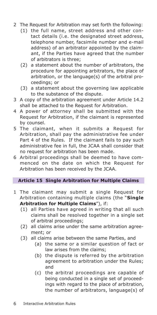- 2 The Request for Arbitration may set forth the following:
	- (1) the full name, street address and other contact details (i.e. the designated street address, telephone number, facsimile number and e-mail address) of an arbitrator appointed by the claimant, if the Parties have agreed that the number of arbitrators is three;
	- (2) a statement about the number of arbitrators, the procedure for appointing arbitrators, the place of arbitration, or the language(s) of the arbitral proceedings; or
	- (3) a statement about the governing law applicable to the substance of the dispute.
- 3 A copy of the arbitration agreement under Article 14.2 shall be attached to the Request for Arbitration.
- 4 A power of attorney shall be submitted with the Request for Arbitration, if the claimant is represented by counsel.
- 5 The claimant, when it submits a Request for Arbitration, shall pay the administrative fee under Part 4 of the Rules. If the claimant fails to pay such administrative fee in full, the JCAA shall consider that no request for arbitration has been made.
- 6 Arbitral proceedings shall be deemed to have commenced on the date on which the Request for Arbitration has been received by the JCAA.

## **Article 15 Single Arbitration for Multiple Claims**

- 1 The claimant may submit a single Request for Arbitration containing multiple claims (the "**Single Arbitration for Multiple Claims**"), if:
	- (1) all Parties have agreed in writing that all such claims shall be resolved together in a single set of arbitral proceedings;
	- (2) all claims arise under the same arbitration agreement; or
	- (3) all claims arise between the same Parties, and
		- (a) the same or a similar question of fact or law arises from the claims;
		- (b) the dispute is referred by the arbitration agreement to arbitration under the Rules; and
		- (c) the arbitral proceedings are capable of being conducted in a single set of proceedings with regard to the place of arbitration, the number of arbitrators, language(s) of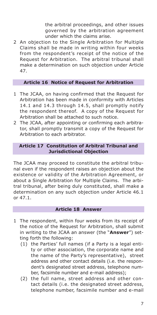the arbitral proceedings, and other issues governed by the arbitration agreement under which the claims arise.

2 An objection to the Single Arbitration for Multiple Claims shall be made in writing within four weeks from the respondent's receipt of the notice of the Request for Arbitration. The arbitral tribunal shall make a determination on such objection under Article 47.

## **Article 16 Notice of Request for Arbitration**

- 1 The JCAA, on having confirmed that the Request for Arbitration has been made in conformity with Articles 14.1 and 14.3 through 14.5, shall promptly notify the respondent thereof. A copy of the Request for Arbitration shall be attached to such notice.
- 2 The JCAA, after appointing or confirming each arbitrator, shall promptly transmit a copy of the Request for Arbitration to each arbitrator.

## **Article 17 Constitution of Arbitral Tribunal and Jurisdictional Objection**

The JCAA may proceed to constitute the arbitral tribunal even if the respondent raises an objection about the existence or validity of the Arbitration Agreement, or about a Single Arbitration for Multiple Claims. The arbitral tribunal, after being duly constituted, shall make a determination on any such objection under Article 46.1 or 47.1.

#### **Article 18 Answer**

- 1 The respondent, within four weeks from its receipt of the notice of the Request for Arbitration, shall submit in writing to the JCAA an answer (the "**Answer**") setting forth the following:
	- (1) the Parties' full names (if a Party is a legal entity or other association, the corporate name and the name of the Party's representative), street address and other contact details (i.e. the respondent's designated street address, telephone number, facsimile number and e-mail address);
	- (2) the full name, street address and other contact details (i.e. the designated street address, telephone number, facsimile number and e-mail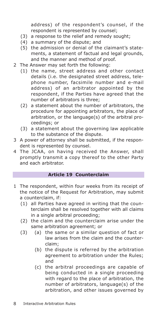address) of the respondent's counsel, if the respondent is represented by counsel;

- (3) a response to the relief and remedy sought;
- (4) a summary of the dispute; and
- (5) the admission or denial of the claimant's statements, a statement of factual and legal grounds, and the manner and method of proof.
- 2 The Answer may set forth the following:
	- (1) the name, street address and other contact details (i.e. the designated street address, telephone number, facsimile number and e-mail address) of an arbitrator appointed by the respondent, if the Parties have agreed that the number of arbitrators is three;
	- (2) a statement about the number of arbitrators, the procedure for appointing arbitrators, the place of arbitration, or the language(s) of the arbitral proceedings; or
	- (3) a statement about the governing law applicable to the substance of the dispute.
- 3 A power of attorney shall be submitted, if the respondent is represented by counsel.
- 4 The JCAA, on having received the Answer, shall promptly transmit a copy thereof to the other Party and each arbitrator.

#### **Article 19 Counterclaim**

- 1 The respondent, within four weeks from its receipt of the notice of the Request for Arbitration, may submit a counterclaim, if:
	- (1) all Parties have agreed in writing that the counterclaim shall be resolved together with all claims in a single arbitral proceeding;
	- (2) the claim and the counterclaim arise under the same arbitration agreement; or
	- (3) (a) the same or a similar question of fact or law arises from the claim and the counterclaim;
		- (b) the dispute is referred by the arbitration agreement to arbitration under the Rules; and
		- (c) the arbitral proceedings are capable of being conducted in a single proceeding with regard to the place of arbitration, the number of arbitrators, language(s) of the arbitration, and other issues governed by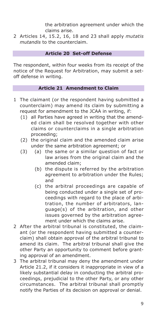the arbitration agreement under which the claims arise.

2 Articles 14, 15.2, 16, 18 and 23 shall apply *mutatis mutandis* to the counterclaim.

## **Article 20 Set-off Defense**

The respondent, within four weeks from its receipt of the notice of the Request for Arbitration, may submit a setoff defense in writing.

## **Article 21 Amendment to Claim**

- 1 The claimant (or the respondent having submitted a counterclaim) may amend its claim by submitting a request for amendment to the JCAA in writing, if:
	- (1) all Parties have agreed in writing that the amended claim shall be resolved together with other claims or counterclaims in a single arbitration proceeding;
	- (2) the original claim and the amended claim arise under the same arbitration agreement; or
	- (3) (a) the same or a similar question of fact or law arises from the original claim and the amended claim;
		- (b) the dispute is referred by the arbitration agreement to arbitration under the Rules; and
		- (c) the arbitral proceedings are capable of being conducted under a single set of proceedings with regard to the place of arbitration, the number of arbitrators, language(s) of the arbitration, and other issues governed by the arbitration agreement under which the claims arise.
- 2 After the arbitral tribunal is constituted, the claimant (or the respondent having submitted a counterclaim) shall obtain approval of the arbitral tribunal to amend its claim. The arbitral tribunal shall give the other Party an opportunity to comment before granting approval of an amendment.
- 3 The arbitral tribunal may deny the amendment under Article 21.2, if it considers it inappropriate in view of a likely substantial delay in conducting the arbitral proceedings, prejudicial to the other Party, or any other circumstances. The arbitral tribunal shall promptly notify the Parties of its decision on approval or denial.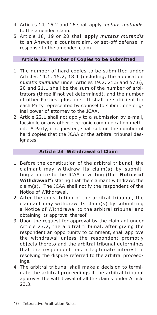- 4 Articles 14, 15.2 and 16 shall apply *mutatis mutandis* to the amended claim.
- 5 Article 18, 19 or 20 shall apply *mutatis mutandis* to an Answer, a counterclaim, or set-off defense in response to the amended claim.

## **Article 22 Number of Copies to be Submitted**

- 1 The number of hard copies to be submitted under Articles 14.1, 15.2, 18.1 (including, the application *mutatis mutandis* under Articles 19.2, 21.5 and 57.6), 20 and 21.1 shall be the sum of the number of arbitrators (three if not yet determined), and the number of other Parties, plus one. It shall be sufficient for each Party represented by counsel to submit one original power of attorney to the JCAA.
- 2 Article 22.1 shall not apply to a submission by e-mail, facsimile or any other electronic communication method. A Party, if requested, shall submit the number of hard copies that the JCAA or the arbitral tribunal designates.

## **Article 23 Withdrawal of Claim**

- 1 Before the constitution of the arbitral tribunal, the claimant may withdraw its claim(s) by submitting a notice to the JCAA in writing (the "**Notice of Withdrawal**") stating that the claimant withdraws the claim(s). The JCAA shall notify the respondent of the Notice of Withdrawal.
- 2 After the constitution of the arbitral tribunal, the claimant may withdraw its claim(s) by submitting a Notice of Withdrawal to the arbitral tribunal and obtaining its approval thereof.
- 3 Upon the request for approval by the claimant under Article 23.2, the arbitral tribunal, after giving the respondent an opportunity to comment, shall approve the withdrawal unless the respondent promptly objects thereto and the arbitral tribunal determines that the respondent has a legitimate interest in resolving the dispute referred to the arbitral proceedings.
- 4 The arbitral tribunal shall make a decision to terminate the arbitral proceedings if the arbitral tribunal approves the withdrawal of all the claims under Article 23.3.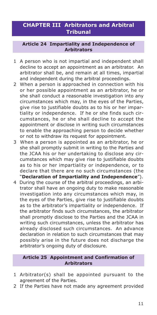# **CHAPTER III Arbitrators and Arbitral Tribunal**

#### **Article 24 Impartiality and Independence of Arbitrators**

- 1 A person who is not impartial and independent shall decline to accept an appointment as an arbitrator. An arbitrator shall be, and remain at all times, impartial and independent during the arbitral proceedings.
- 2 When a person is approached in connection with his or her possible appointment as an arbitrator, he or she shall conduct a reasonable investigation into any circumstances which may, in the eyes of the Parties, give rise to justifiable doubts as to his or her impartiality or independence. If he or she finds such circumstances, he or she shall decline to accept the appointment or disclose in writing such circumstances to enable the approaching person to decide whether or not to withdraw its request for appointment.
- 3 When a person is appointed as an arbitrator, he or she shall promptly submit in writing to the Parties and the JCAA his or her undertaking to disclose any circumstances which may give rise to justifiable doubts as to his or her impartiality or independence, or to declare that there are no such circumstances (the "**Declaration of Impartiality and Independence**").
- 4 During the course of the arbitral proceedings, an arbitrator shall have an ongoing duty to make reasonable investigation into any circumstances which may, in the eyes of the Parties, give rise to justifiable doubts as to the arbitrator's impartiality or independence. If the arbitrator finds such circumstances, the arbitrator shall promptly disclose to the Parties and the JCAA in writing such circumstances, unless the arbitrator has already disclosed such circumstances. An advance declaration in relation to such circumstances that may possibly arise in the future does not discharge the arbitrator's ongoing duty of disclosure.

## **Article 25 Appointment and Confirmation of Arbitrators**

- 1 Arbitrator(s) shall be appointed pursuant to the agreement of the Parties.
- 2 If the Parties have not made any agreement provided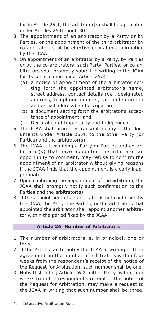for in Article 25.1, the arbitrator(s) shall be appointed under Articles 26 through 30.

- 3 The appointment of an arbitrator by a Party or by Parties, or the appointment of the third arbitrator by co-arbitrators shall be effective only after confirmation by the JCAA.
- 4 On appointment of an arbitrator by a Party, by Parties or by the co-arbitrators, such Party, Parties, or co-arbitrators shall promptly submit in writing to the JCAA for its confirmation under Article 25.3:
	- (a) a notice of appointment of the arbitrator setting forth the appointed arbitrator's name, street address, contact details (*i.e.*, designated address, telephone number, facsimile number and e-mail address) and occupation;
	- (b) a document setting forth the arbitrator's acceptance of appointment; and
	- (c) Declaration of Impartiality and Independence.
- 5 The JCAA shall promptly transmit a copy of the documents under Article 25.4. to the other Party (or Parties) and the arbitrator(s).
- 6 The JCAA, after giving a Party or Parties and co-arbitrator(s) that have appointed the arbitrator an opportunity to comment, may refuse to confirm the appointment of an arbitrator without giving reasons if the JCAA finds that the appointment is clearly inappropriate.
- 7 Upon confirming the appointment of the arbitrator, the JCAA shall promptly notify such confirmation to the Parties and the arbitrator(s).
- 8 If the appointment of an arbitrator is not confirmed by the JCAA, the Party, the Parties, or the arbitrators that appointed the arbitrator shall appoint another arbitrator within the period fixed by the JCAA.

## **Article 26 Number of Arbitrators**

- 1 The number of arbitrators is, in principal, one or three.
- 2 If the Parties fail to notify the JCAA in writing of their agreement on the number of arbitrators within four weeks from the respondent's receipt of the notice of the Request for Arbitration, such number shall be one.
- 3 Notwithstanding Article 26.2, either Party, within four weeks from the respondent's receipt of the notice of the Request for Arbitration, may make a request to the JCAA in writing that such number shall be three.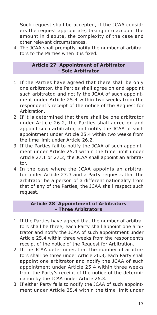Such request shall be accepted, if the JCAA considers the request appropriate, taking into account the amount in dispute, the complexity of the case and other relevant circumstances.

4 The JCAA shall promptly notify the number of arbitrators to the Parties when it is fixed.

## **Article 27 Appointment of Arbitrator - Sole Arbitrator**

- 1 If the Parties have agreed that there shall be only one arbitrator, the Parties shall agree on and appoint such arbitrator, and notify the JCAA of such appointment under Article 25.4 within two weeks from the respondent's receipt of the notice of the Request for Arbitration.
- 2 If it is determined that there shall be one arbitrator under Article 26.2, the Parties shall agree on and appoint such arbitrator, and notify the JCAA of such appointment under Article 25.4 within two weeks from the time limit under Article 26.2.
- 3 If the Parties fail to notify the JCAA of such appointment under Article 25.4 within the time limit under Article 27.1 or 27.2, the JCAA shall appoint an arbitrator.
- 4 In the case where the JCAA appoints an arbitrator under Article 27.3 and a Party requests that the arbitrator be a person of a different nationality from that of any of the Parties, the JCAA shall respect such request.

## **Article 28 Appointment of Arbitrators - Three Arbitrators**

- 1 If the Parties have agreed that the number of arbitrators shall be three, each Party shall appoint one arbitrator and notify the JCAA of such appointment under Article 25.4 within three weeks from the respondent's receipt of the notice of the Request for Arbitration.
- 2 If the JCAA determines that the number of arbitrators shall be three under Article 26.3, each Party shall appoint one arbitrator and notify the JCAA of such appointment under Article 25.4 within three weeks from the Party's receipt of the notice of the determination by the JCAA under Article 26.3.
- 3 If either Party fails to notify the JCAA of such appointment under Article 25.4 within the time limit under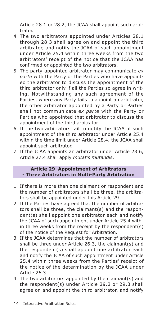Article 28.1 or 28.2, the JCAA shall appoint such arbitrator.

- 4 The two arbitrators appointed under Articles 28.1 through 28.3 shall agree on and appoint the third arbitrator, and notify the JCAA of such appointment under Article 25.4 within three weeks from the two arbitrators' receipt of the notice that the JCAA has confirmed or appointed the two arbitrators.
- 5 The party-appointed arbitrator may communicate *ex parte* with the Party or the Parties who have appointed the arbitrator to discuss the appointment of the third arbitrator only if all the Parties so agree in writing. Notwithstanding any such agreement of the Parties, where any Party fails to appoint an arbitrator, the other arbitrator appointed by a Party or Parties shall not communicate *ex parte* with the Party or Parties who appointed that arbitrator to discuss the appointment of the third arbitrator.
- 6 If the two arbitrators fail to notify the JCAA of such appointment of the third arbitrator under Article 25.4 within the time limit under Article 28.4, the JCAA shall appoint such arbitrator.
- 7 If the JCAA appoints an arbitrator under Article 28.6, Article 27.4 shall apply *mutatis mutandis*.

## **Article 29 Appointment of Arbitrators - Three Arbitrators in Multi-Party Arbitration**

- 1 If there is more than one claimant or respondent and the number of arbitrators shall be three, the arbitrators shall be appointed under this Article 29.
- 2 If the Parties have agreed that the number of arbitrators shall be three, the claimant(s) and the respondent(s) shall appoint one arbitrator each and notify the JCAA of such appointment under Article 25.4 within three weeks from the receipt by the respondent(s) of the notice of the Request for Arbitration.
- 3 If the JCAA determines that the number of arbitrators shall be three under Article 26.3, the claimant(s) and the respondent(s) shall appoint one arbitrator each and notify the JCAA of such appointment under Article 25.4 within three weeks from the Parties' receipt of the notice of the determination by the JCAA under Article 26.3.
- 4 The two arbitrators appointed by the claimant(s) and the respondent(s) under Article 29.2 or 29.3 shall agree on and appoint the third arbitrator, and notify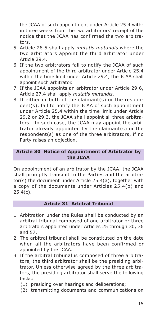the JCAA of such appointment under Article 25.4 within three weeks from the two arbitrators' receipt of the notice that the JCAA has confirmed the two arbitrators.

- 5 Article 28.5 shall apply *mutatis mutandis* where the two arbitrators appoint the third arbitrator under Article 29.4.
- 6 If the two arbitrators fail to notify the JCAA of such appointment of the third arbitrator under Article 25.4 within the time limit under Article 29.4, the JCAA shall appoint such arbitrator.
- 7 If the JCAA appoints an arbitrator under Article 29.6, Article 27.4 shall apply *mutatis mutandis*.
- 8 If either or both of the claimant(s) or the respondent(s), fail to notify the JCAA of such appointment under Article 25.4 within the time limit under Article 29.2 or 29.3, the JCAA shall appoint all three arbitrators. In such case, the JCAA may appoint the arbitrator already appointed by the claimant(s) or the respondent(s) as one of the three arbitrators, if no Party raises an objection.

## **Article 30 Notice of Appointment of Arbitrator by the JCAA**

On appointment of an arbitrator by the JCAA, the JCAA shall promptly transmit to the Parties and the arbitrator(s) the document under Article 25.4(a), together with a copy of the documents under Articles 25.4(b) and 25.4(c).

## **Article 31 Arbitral Tribunal**

- 1 Arbitration under the Rules shall be conducted by an arbitral tribunal composed of one arbitrator or three arbitrators appointed under Articles 25 through 30, 36 and 57.
- 2 The arbitral tribunal shall be constituted on the date when all the arbitrators have been confirmed or appointed by the JCAA.
- 3 If the arbitral tribunal is composed of three arbitrators, the third arbitrator shall be the presiding arbitrator. Unless otherwise agreed by the three arbitrators, the presiding arbitrator shall serve the following tasks:
	- (1) presiding over hearings and deliberations;
	- (2) transmitting documents and communications on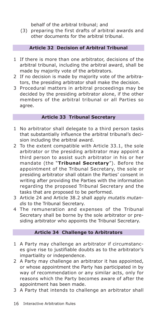behalf of the arbitral tribunal; and

(3) preparing the first drafts of arbitral awards and other documents for the arbitral tribunal.

## **Article 32 Decision of Arbitral Tribunal**

- 1 If there is more than one arbitrator, decisions of the arbitral tribunal, including the arbitral award, shall be made by majority vote of the arbitrators.
- 2 If no decision is made by majority vote of the arbitrators, the presiding arbitrator shall make the decision.
- 3 Procedural matters in arbitral proceedings may be decided by the presiding arbitrator alone, if the other members of the arbitral tribunal or all Parties so agree.

## **Article 33 Tribunal Secretary**

- 1 No arbitrator shall delegate to a third person tasks that substantially influence the arbitral tribunal's decision including the arbitral award.
- 2 To the extent compatible with Article 33.1, the sole arbitrator or the presiding arbitrator may appoint a third person to assist such arbitrator in his or her mandate (the "**Tribunal Secretary**"). Before the appointment of the Tribunal Secretary, the sole or presiding arbitrator shall obtain the Parties' consent in writing after providing the Parties with the information regarding the proposed Tribunal Secretary and the tasks that are proposed to be performed.
- 3 Article 24 and Article 38.2 shall apply *mutatis mutandis* to the Tribunal Secretary.
- 4 The remuneration and expenses of the Tribunal Secretary shall be borne by the sole arbitrator or presiding arbitrator who appoints the Tribunal Secretary.

## **Article 34 Challenge to Arbitrators**

- 1 A Party may challenge an arbitrator if circumstances give rise to justifiable doubts as to the arbitrator's impartiality or independence.
- 2 A Party may challenge an arbitrator it has appointed, or whose appointment the Party has participated in by way of recommendation or any similar acts, only for reasons which the Party becomes aware of after the appointment has been made.
- 3 A Party that intends to challenge an arbitrator shall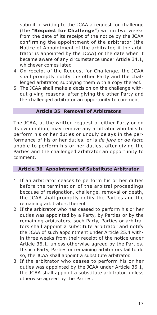submit in writing to the JCAA a request for challenge (the "**Request for Challenge**") within two weeks from the date of its receipt of the notice by the JCAA confirming the appointment of the arbitrator (the Notice of Appointment of the arbitrator, if the arbitrator is appointed by the JCAA) or the date when it became aware of any circumstance under Article 34.1, whichever comes later.

- 4 On receipt of the Request for Challenge, the JCAA shall promptly notify the other Party and the challenged arbitrator, supplying them with a copy thereof.
- 5 The JCAA shall make a decision on the challenge without giving reasons, after giving the other Party and the challenged arbitrator an opportunity to comment.

## **Article 35 Removal of Arbitrators**

The JCAA, at the written request of either Party or on its own motion, may remove any arbitrator who fails to perform his or her duties or unduly delays in the performance of his or her duties, or is *de jure* or *de facto* unable to perform his or her duties, after giving the Parties and the challenged arbitrator an opportunity to comment.

#### **Article 36 Appointment of Substitute Arbitrator**

- 1 If an arbitrator ceases to perform his or her duties before the termination of the arbitral proceedings because of resignation, challenge, removal or death, the JCAA shall promptly notify the Parties and the remaining arbitrators thereof.
- 2 If the arbitrator who has ceased to perform his or her duties was appointed by a Party, by Parties or by the remaining arbitrators, such Party, Parties or arbitrators shall appoint a substitute arbitrator and notify the JCAA of such appointment under Article 25.4 within three weeks from their receipt of the notice under Article 36.1, unless otherwise agreed by the Parties. If such Party, Parties or remaining arbitrators fail to do so, the JCAA shall appoint a substitute arbitrator.
- 3 If the arbitrator who ceases to perform his or her duties was appointed by the JCAA under Article 36.1, the JCAA shall appoint a substitute arbitrator, unless otherwise agreed by the Parties.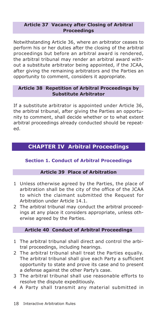#### **Article 37 Vacancy after Closing of Arbitral Proceedings**

Notwithstanding Article 36, where an arbitrator ceases to perform his or her duties after the closing of the arbitral proceedings but before an arbitral award is rendered, the arbitral tribunal may render an arbitral award without a substitute arbitrator being appointed, if the JCAA, after giving the remaining arbitrators and the Parties an opportunity to comment, considers it appropriate.

## **Article 38 Repetition of Arbitral Proceedings by Substitute Arbitrator**

If a substitute arbitrator is appointed under Article 36, the arbitral tribunal, after giving the Parties an opportunity to comment, shall decide whether or to what extent arbitral proceedings already conducted should be repeated.

# **CHAPTER IV Arbitral Proceedings**

## **Section 1. Conduct of Arbitral Proceedings**

## **Article 39 Place of Arbitration**

- 1 Unless otherwise agreed by the Parties, the place of arbitration shall be the city of the office of the JCAA to which the claimant submitted the Request for Arbitration under Article 14.1.
- 2 The arbitral tribunal may conduct the arbitral proceedings at any place it considers appropriate, unless otherwise agreed by the Parties.

## **Article 40 Conduct of Arbitral Proceedings**

- 1 The arbitral tribunal shall direct and control the arbitral proceedings, including hearings.
- 2 The arbitral tribunal shall treat the Parties equally. The arbitral tribunal shall give each Party a sufficient opportunity to state and prove its case and to present a defense against the other Party's case.
- 3 The arbitral tribunal shall use reasonable efforts to resolve the dispute expeditiously.
- 4 A Party shall transmit any material submitted in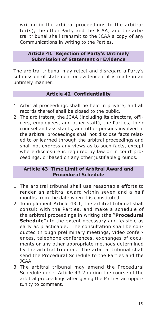writing in the arbitral proceedings to the arbitrator(s), the other Party and the JCAA; and the arbitral tribunal shall transmit to the JCAA a copy of any Communications in writing to the Parties.

## **Article 41 Rejection of Party's Untimely Submission of Statement or Evidence**

The arbitral tribunal may reject and disregard a Party's submission of statement or evidence if it is made in an untimely manner.

## **Article 42 Confidentiality**

- 1 Arbitral proceedings shall be held in private, and all records thereof shall be closed to the public.
- 2 The arbitrators, the JCAA (including its directors, officers, employees, and other staff), the Parties, their counsel and assistants, and other persons involved in the arbitral proceedings shall not disclose facts related to or learned through the arbitral proceedings and shall not express any views as to such facts, except where disclosure is required by law or in court proceedings, or based on any other justifiable grounds.

## **Article 43 Time Limit of Arbitral Award and Procedural Schedule**

- 1 The arbitral tribunal shall use reasonable efforts to render an arbitral award within seven and a half months from the date when it is constituted.
- 2 To implement Article 43.1, the arbitral tribunal shall consult with the Parties, and make a schedule of the arbitral proceedings in writing (the "**Procedural Schedule**") to the extent necessary and feasible as early as practicable. The consultation shall be conducted through preliminary meetings, video conferences, telephone conferences, exchanges of documents or any other appropriate methods determined by the arbitral tribunal. The arbitral tribunal shall send the Procedural Schedule to the Parties and the JCAA.
- 3 The arbitral tribunal may amend the Procedural Schedule under Article 43.2 during the course of the arbitral proceedings after giving the Parties an opportunity to comment.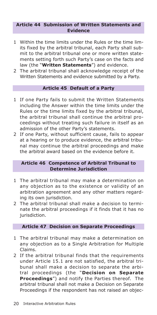#### **Article 44 Submission of Written Statements and Evidence**

- 1 Within the time limits under the Rules or the time limits fixed by the arbitral tribunal, each Party shall submit to the arbitral tribunal one or more written statements setting forth such Party's case on the facts and law (the "**Written Statements**") and evidence.
- 2 The arbitral tribunal shall acknowledge receipt of the Written Statements and evidence submitted by a Party.

## **Article 45 Default of a Party**

- 1 If one Party fails to submit the Written Statements including the Answer within the time limits under the Rules or the time limits fixed by the arbitral tribunal, the arbitral tribunal shall continue the arbitral proceedings without treating such failure in itself as an admission of the other Party's statements.
- 2 If one Party, without sufficient cause, fails to appear at a hearing or to produce evidence, the arbitral tribunal may continue the arbitral proceedings and make the arbitral award based on the evidence before it.

## **Article 46 Competence of Arbitral Tribunal to Determine Jurisdiction**

- 1 The arbitral tribunal may make a determination on any objection as to the existence or validity of an arbitration agreement and any other matters regarding its own jurisdiction.
- 2 The arbitral tribunal shall make a decision to terminate the arbitral proceedings if it finds that it has no jurisdiction.

## **Article 47 Decision on Separate Proceedings**

- 1 The arbitral tribunal may make a determination on any objection as to a Single Arbitration for Multiple Claims.
- 2 If the arbitral tribunal finds that the requirements under Article 15.1 are not satisfied, the arbitral tribunal shall make a decision to separate the arbitral proceedings (the "**Decision on Separate Proceedings**") and notify the Parties thereof. The arbitral tribunal shall not make a Decision on Separate Proceedings if the respondent has not raised an objec-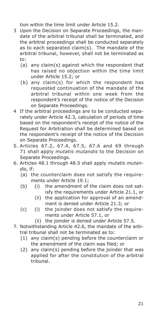tion within the time limit under Article 15.2.

- 3 Upon the Decision on Separate Proceedings, the mandate of the arbitral tribunal shall be terminated, and the arbitral proceedings shall be conducted separately as to each separated claim(s). The mandate of the arbitral tribunal, however, shall not be terminated as to:
	- (a) any claim(s) against which the respondent that has raised no objection within the time limit under Article 15.2; or
	- (b) any claim(s) for which the respondent has requested continuation of the mandate of the arbitral tribunal within one week from the respondent's receipt of the notice of the Decision on Separate Proceedings.
- 4 If the arbitral proceedings are to be conducted separately under Article 42.3, calculation of periods of time based on the respondent's receipt of the notice of the Request for Arbitration shall be determined based on the respondent's receipt of the notice of the Decision on Separate Proceedings.
- 5. Articles 67.2, 67.4, 67.5, 67.6 and 69 through 71 shall apply *mutatis mutandis* to the Decision on Separate Proceedings.
- 6. Articles 48.1 through 48.5 shall apply *mutatis mutandis*, if:
	- (a) the counterclaim does not satisfy the requirements under Article 19.1;
	- (b) (i) the amendment of the claim does not satisfy the requirements under Article 21.1, or
		- (ii) the application for approval of an amendment is denied under Article 21.3; or
	- (c) (i) the joinder does not satisfy the requirements under Article 57.1, or
		- (ii) the joinder is denied under Article 57.5.
- 7. Notwithstanding Article 42.6, the mandate of the arbitral tribunal shall not be terminated as to:
	- (1) any claim(s) pending before the counterclaim or the amendment of the claim was filed; or
	- (2) any claim(s) pending before the joinder that was applied for after the constitution of the arbitral tribunal.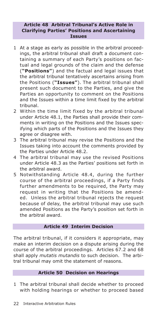## **Article 48 Arbitral Tribunal's Active Role in Clarifying Parties' Positions and Ascertaining Issues**

- 1 At a stage as early as possible in the arbitral proceedings, the arbitral tribunal shall draft a document containing a summary of each Party's positions on factual and legal grounds of the claim and the defense (**"Positions"**) and the factual and legal issues that the arbitral tribunal tentatively ascertains arising from the Positions (**"Issues"**). The arbitral tribunal shall present such document to the Parties, and give the Parties an opportunity to comment on the Positions and the Issues within a time limit fixed by the arbitral tribunal.
- 2 Within the time limit fixed by the arbitral tribunal under Article 48.1, the Parties shall provide their comments in writing on the Positions and the Issues specifying which parts of the Positions and the Issues they agree or disagree with.
- 3 The arbitral tribunal may revise the Positions and the Issues taking into account the comments provided by the Parties under Article 48.2.
- 4 The arbitral tribunal may use the revised Positions under Article 48.3 as the Parties' positions set forth in the arbitral award.
- 5 Notwithstanding Article 48.4, during the further course of the arbitral proceedings, if a Party finds further amendments to be required, the Party may request in writing that the Positions be amended. Unless the arbitral tribunal rejects the request because of delay, the arbitral tribunal may use such amended Positions as the Party's position set forth in the arbitral award.

## **Article 49 Interim Decision**

The arbitral tribunal, if it considers it appropriate, may make an interim decision on a dispute arising during the course of the arbitral proceedings. Articles 67.2 and 68 shall apply *mutatis mutandis* to such decision. The arbitral tribunal may omit the statement of reasons.

## **Article 50 Decision on Hearings**

1 The arbitral tribunal shall decide whether to proceed with holding hearings or whether to proceed based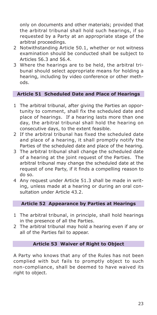only on documents and other materials; provided that the arbitral tribunal shall hold such hearings, if so requested by a Party at an appropriate stage of the arbitral proceedings.

- 2 Notwithstanding Article 50.1, whether or not witness examination should be conducted shall be subject to Articles 56.3 and 56.4.
- 3 Where the hearings are to be held, the arbitral tribunal should select appropriate means for holding a hearing, including by video conference or other methods.

## **Article 51 Scheduled Date and Place of Hearings**

- 1 The arbitral tribunal, after giving the Parties an opportunity to comment, shall fix the scheduled date and place of hearings. If a hearing lasts more than one day, the arbitral tribunal shall hold the hearing on consecutive days, to the extent feasible.
- 2 If the arbitral tribunal has fixed the scheduled date and place of a hearing, it shall promptly notify the Parties of the scheduled date and place of the hearing.
- 3 The arbitral tribunal shall change the scheduled date of a hearing at the joint request of the Parties. The arbitral tribunal may change the scheduled date at the request of one Party, if it finds a compelling reason to do so.
- 4 Any request under Article 51.3 shall be made in writing, unless made at a hearing or during an oral consultation under Article 43.2.

## **Article 52 Appearance by Parties at Hearings**

- 1 The arbitral tribunal, in principle, shall hold hearings in the presence of all the Parties.
- 2 The arbitral tribunal may hold a hearing even if any or all of the Parties fail to appear.

#### **Article 53 Waiver of Right to Object**

A Party who knows that any of the Rules has not been complied with but fails to promptly object to such non-compliance, shall be deemed to have waived its right to object.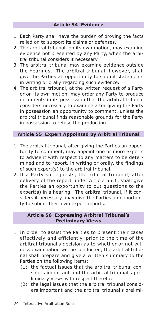- 1 Each Party shall have the burden of proving the facts relied on to support its claims or defenses.
- 2 The arbitral tribunal, on its own motion, may examine evidence not presented by any Party, when the arbitral tribunal considers it necessary.
- 3 The arbitral tribunal may examine evidence outside the hearings. The arbitral tribunal, however, shall give the Parties an opportunity to submit statements in writing or orally regarding such evidence.
- 4 The arbitral tribunal, at the written request of a Party or on its own motion, may order any Party to produce documents in its possession that the arbitral tribunal considers necessary to examine after giving the Party in possession an opportunity to comment, unless the arbitral tribunal finds reasonable grounds for the Party in possession to refuse the production.

## **Article 55 Expert Appointed by Arbitral Tribunal**

- 1 The arbitral tribunal, after giving the Parties an opportunity to comment, may appoint one or more experts to advise it with respect to any matters to be determined and to report, in writing or orally, the findings of such expert(s) to the arbitral tribunal.
- 2 If a Party so requests, the arbitral tribunal, after delivery of the report under Article 55.1, shall give the Parties an opportunity to put questions to the expert(s) in a hearing. The arbitral tribunal, if it considers it necessary, may give the Parties an opportunity to submit their own expert reports.

## **Article 56 Expressing Arbitral Tribunal's Preliminary Views**

- 1 In order to assist the Parties to present their cases effectively and efficiently, prior to the time of the arbitral tribunal's decision as to whether or not witness examination will be conducted, the arbitral tribunal shall prepare and give a written summary to the Parties on the following items:
	- (1) the factual issues that the arbitral tribunal considers important and the arbitral tribunal's preliminary views with respect thereto;
	- (2) the legal issues that the arbitral tribunal considers important and the arbitral tribunal's prelimi-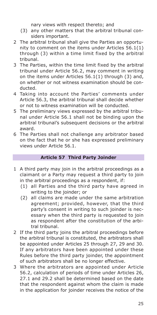nary views with respect thereto; and

- (3) any other matters that the arbitral tribunal considers important.
- 2 The arbitral tribunal shall give the Parties an opportunity to comment on the items under Articles 56.1(1) through (3) within a time limit fixed by the arbitral tribunal.
- 3 The Parties, within the time limit fixed by the arbitral tribunal under Article 56.2, may comment in writing on the items under Articles 56.1(1) through (3) and, on whether or not witness examination should be conducted.
- 4 Taking into account the Parties' comments under Article 56.3, the arbitral tribunal shall decide whether or not to witness examination will be conducted.
- 5 The preliminary views expressed by the arbitral tribunal under Article 56.1 shall not be binding upon the arbitral tribunal's subsequent decisions or the arbitral award.
- 6 The Parties shall not challenge any arbitrator based on the fact that he or she has expressed preliminary views under Article 56.1.

## **Article 57 Third Party Joinder**

- 1 A third party may join in the arbitral proceedings as a claimant or a Party may request a third party to join in the arbitral proceedings as a respondent, if:
	- (1) all Parties and the third party have agreed in writing to the joinder; or
	- (2) all claims are made under the same arbitration agreement; provided, however, that the third party's consent in writing to such joinder is necessary when the third party is requested to join as respondent after the constitution of the arbitral tribunal.
- 2 If the third party joins the arbitral proceedings before the arbitral tribunal is constituted, the arbitrators shall be appointed under Articles 25 through 27, 29 and 30. If any arbitrators have been appointed under these Rules before the third party joinder, the appointment of such arbitrators shall be no longer effective.
- 3 Where the arbitrators are appointed under Article 56.2, calculation of periods of time under Articles 26, 27.1 and 29.2 shall be determined based on the date that the respondent against whom the claim is made in the application for joinder receives the notice of the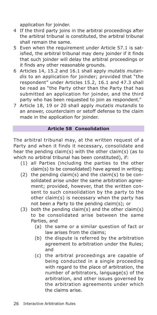application for joinder.

- 4 If the third party joins in the arbitral proceedings after the arbitral tribunal is constituted, the arbitral tribunal shall remain the same.
- 5 Even when the requirement under Article 57.1 is satisfied, the arbitral tribunal may deny joinder if it finds that such joinder will delay the arbitral proceedings or it finds any other reasonable grounds.
- 6 Articles 14, 15.2 and 16.1 shall apply *mutatis mutandis* to an application for joinder; provided that "the respondent" under Articles 15.2, 16.1 and 47.3 shall be read as "the Party other than the Party that has submitted an application for joinder, and the third party who has been requested to join as respondent."
- 7 Article 18, 19 or 20 shall apply *mutatis mutandis* to an answer, counterclaim or setoff defense to the claim made in the application for joinder.

## **Article 58 Consolidation**

The arbitral tribunal may, at the written request of a Party and when it finds it necessary, consolidate and hear the pending claim(s) with the other claim(s) (as to which no arbitral tribunal has been constituted), if:

- (1) all Parties (including the parties to the other claim(s) to be consolidated) have agreed in writing;
- (2) the pending claim(s) and the claim(s) to be consolidated arise under the same arbitration agreement; provided, however, that the written consent to such consolidation by the party to the other claim(s) is necessary when the party has not been a Party to the pending claim(s); or
- (3) both the pending claim(s) and the other claim(s) to be consolidated arise between the same Parties, and
	- (a) the same or a similar question of fact or law arises from the claims;
	- (b) the dispute is referred by the arbitration agreement to arbitration under the Rules; and
	- (c) the arbitral proceedings are capable of being conducted in a single proceeding with regard to the place of arbitration, the number of arbitrators, language(s) of the arbitration, and other issues governed by the arbitration agreements under which the claims arise.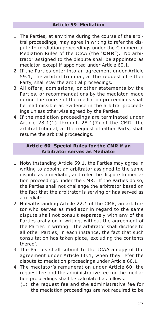- 1 The Parties, at any time during the course of the arbitral proceedings, may agree in writing to refer the dispute to mediation proceedings under the Commercial Mediation Rules of the JCAA (the "**CMR**"). No arbitrator assigned to the dispute shall be appointed as mediator, except if appointed under Article 60.1.
- 2 If the Parties enter into an agreement under Article 59.1, the arbitral tribunal, at the request of either Party, shall stay the arbitral proceedings.
- 3 All offers, admissions, or other statements by the Parties, or recommendations by the mediator, made during the course of the mediation proceedings shall be inadmissible as evidence in the arbitral proceedings unless otherwise agreed by the Parties.
- 4 If the mediation proceedings are terminated under Article 28.1(1) through 28.1(7) of the CMR, the arbitral tribunal, at the request of either Party, shall resume the arbitral proceedings.

## **Article 60 Special Rules for the CMR if an Arbitrator serves as Mediator**

- 1 Notwithstanding Article 59.1, the Parties may agree in writing to appoint an arbitrator assigned to the same dispute as a mediator, and refer the dispute to mediation proceedings under the CMR. If the Parties do so, the Parties shall not challenge the arbitrator based on the fact that the arbitrator is serving or has served as a mediator.
- 2 Notwithstanding Article 22.1 of the CMR, an arbitrator who serves as mediator in regard to the same dispute shall not consult separately with any of the Parties orally or in writing, without the agreement of the Parties in writing. The arbitrator shall disclose to all other Parties, in each instance, the fact that such consultation has taken place, excluding the contents thereof.
- 3 The Parties shall submit to the JCAA a copy of the agreement under Article 60.1, when they refer the dispute to mediation proceedings under Article 60.1.
- 4 The mediator's remuneration under Article 60, the request fee and the administrative fee for the mediation proceedings shall be calculated as follows:
	- (1) the request fee and the administrative fee for the mediation proceedings are not required to be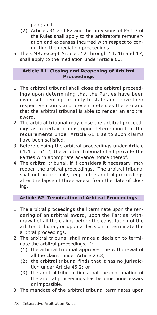paid; and

- (2) Articles 81 and 82 and the provisions of Part 3 of the Rules shall apply to the arbitrator's remuneration and expenses incurred with respect to conducting the mediation proceedings.
- 5 The CMR, except Articles 12 through 14, 16 and 17, shall apply to the mediation under Article 60.

## **Article 61 Closing and Reopening of Arbitral Proceedings**

- 1 The arbitral tribunal shall close the arbitral proceedings upon determining that the Parties have been given sufficient opportunity to state and prove their respective claims and present defenses thereto and that the arbitral tribunal is able to render an arbitral award.
- 2 The arbitral tribunal may close the arbitral proceedings as to certain claims, upon determining that the requirements under Article 61.1 as to such claims have been satisfied.
- 3 Before closing the arbitral proceedings under Article 61.1 or 61.2, the arbitral tribunal shall provide the Parties with appropriate advance notice thereof.
- 4 The arbitral tribunal, if it considers it necessary, may reopen the arbitral proceedings. The arbitral tribunal shall not, in principle, reopen the arbitral proceedings after the lapse of three weeks from the date of closing.

## **Article 62 Termination of Arbitral Proceedings**

- 1 The arbitral proceedings shall terminate upon the rendering of an arbitral award, upon the Parties' withdrawal of all the claims before the constitution of the arbitral tribunal, or upon a decision to terminate the arbitral proceedings.
- 2 The arbitral tribunal shall make a decision to terminate the arbitral proceedings, if:
	- (1) the arbitral tribunal approves the withdrawal of all the claims under Article 23.3;
	- (2) the arbitral tribunal finds that it has no jurisdiction under Article 46.2; or
	- (3) the arbitral tribunal finds that the continuation of the arbitral proceedings has become unnecessary or impossible.
- 3 The mandate of the arbitral tribunal terminates upon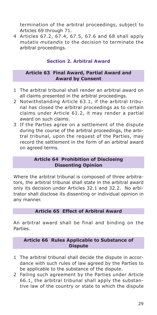termination of the arbitral proceedings, subject to Articles 69 through 71.

4 Articles 67.2, 67.4, 67.5, 67.6 and 68 shall apply *mutatis mutandis* to the decision to terminate the arbitral proceedings.

## **Section 2. Arbitral Award**

## **Article 63 Final Award, Partial Award and Award by Consent**

- 1 The arbitral tribunal shall render an arbitral award on all claims presented in the arbitral proceedings.
- 2 Notwithstanding Article 63.1, if the arbitral tribunal has closed the arbitral proceedings as to certain claims under Article 61.2, it may render a partial award on such claims.
- 3 If the Parties agree on a settlement of the dispute during the course of the arbitral proceedings, the arbitral tribunal, upon the request of the Parties, may record the settlement in the form of an arbitral award on agreed terms.

## **Article 64 Prohibition of Disclosing Dissenting Opinion**

Where the arbitral tribunal is composed of three arbitrators, the arbitral tribunal shall state in the arbitral award only its decision under Articles 32.1 and 32.2. No arbitrator shall disclose its dissenting or individual opinion in any manner.

## **Article 65 Effect of Arbitral Award**

An arbitral award shall be final and binding on the Parties.

## **Article 66 Rules Applicable to Substance of Dispute**

- 1 The arbitral tribunal shall decide the dispute in accordance with such rules of law agreed by the Parties to be applicable to the substance of the dispute.
- 2 Failing such agreement by the Parties under Article 66.1, the arbitral tribunal shall apply the substantive law of the country or state to which the dispute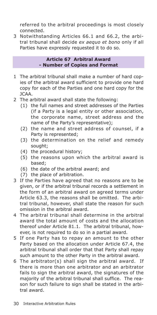referred to the arbitral proceedings is most closely connected.

3 Notwithstanding Articles 66.1 and 66.2, the arbitral tribunal shall decide *ex aequo et bono* only if all Parties have expressly requested it to do so.

#### **Article 67 Arbitral Award - Number of Copies and Format**

- 1 The arbitral tribunal shall make a number of hard copies of the arbitral award sufficient to provide one hard copy for each of the Parties and one hard copy for the JCAA.
- 2 The arbitral award shall state the following:
	- (1) the full names and street addresses of the Parties (if a Party is a legal entity or other association, the corporate name, street address and the name of the Party's representative);
	- (2) the name and street address of counsel, if a Party is represented;
	- (3) the determination on the relief and remedy sought;
	- (4) the procedural history;
	- (5) the reasons upon which the arbitral award is based;
	- (6) the date of the arbitral award; and
	- (7) the place of arbitration.
- 3 If the Parties have agreed that no reasons are to be given, or if the arbitral tribunal records a settlement in the form of an arbitral award on agreed terms under Article 63.3, the reasons shall be omitted. The arbitral tribunal, however, shall state the reason for such omission in the arbitral award.
- 4 The arbitral tribunal shall determine in the arbitral award the total amount of costs and the allocation thereof under Article 81.1. The arbitral tribunal, however, is not required to do so in a partial award.
- 5 If one Party has to repay an amount to the other Party based on the allocation under Article 67.4, the arbitral tribunal shall order that that Party shall repay such amount to the other Party in the arbitral award.
- 6 The arbitrator(s) shall sign the arbitral award. If there is more than one arbitrator and an arbitrator fails to sign the arbitral award, the signatures of the majority of the arbitral tribunal shall suffice. The reason for such failure to sign shall be stated in the arbitral award.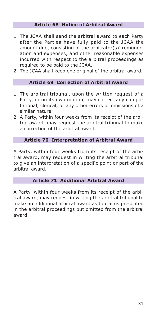## **Article 68 Notice of Arbitral Award**

- 1 The JCAA shall send the arbitral award to each Party after the Parties have fully paid to the JCAA the amount due, consisting of the arbitrator(s)' remuneration and expenses, and other reasonable expenses incurred with respect to the arbitral proceedings as required to be paid to the JCAA.
- 2 The JCAA shall keep one original of the arbitral award.

## **Article 69 Correction of Arbitral Award**

- 1 The arbitral tribunal, upon the written request of a Party, or on its own motion, may correct any computational, clerical, or any other errors or omissions of a similar nature.
- 2 A Party, within four weeks from its receipt of the arbitral award, may request the arbitral tribunal to make a correction of the arbitral award.

#### **Article 70 Interpretation of Arbitral Award**

A Party, within four weeks from its receipt of the arbitral award, may request in writing the arbitral tribunal to give an interpretation of a specific point or part of the arbitral award.

## **Article 71 Additional Arbitral Award**

A Party, within four weeks from its receipt of the arbitral award, may request in writing the arbitral tribunal to make an additional arbitral award as to claims presented in the arbitral proceedings but omitted from the arbitral award.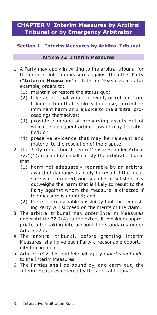# **CHAPTER V Interim Measures by Arbitral Tribunal or by Emergency Arbitrator**

## **Section 1. Interim Measures by Arbitral Tribunal**

## **Article 72 Interim Measures**

- 1 A Party may apply in writing to the arbitral tribunal for the grant of interim measures against the other Party ("**Interim Measures**"). Interim Measures are, for example, orders to:
	- (1) maintain or restore the status quo;
	- (2) take action that would prevent, or refrain from taking action that is likely to cause, current or imminent harm or prejudice to the arbitral proceedings themselves;
	- (3) provide a means of preserving assets out of which a subsequent arbitral award may be satisfied; or
	- (4) preserve evidence that may be relevant and material to the resolution of the dispute.
- 2 The Party requesting Interim Measures under Article  $72.1(1)$ , (2) and (3) shall satisfy the arbitral tribunal that:
	- (1) harm not adequately reparable by an arbitral award of damages is likely to result if the measure is not ordered, and such harm substantially outweighs the harm that is likely to result to the Party against whom the measure is directed if the measure is granted; and
	- (2) there is a reasonable possibility that the requesting Party will succeed on the merits of the claim.
- 3 The arbitral tribunal may order Interim Measures under Article 72.2(4) to the extent it considers appropriate after taking into account the standards under Article 72.2.
- 4 The arbitral tribunal, before granting Interim Measures, shall give each Party a reasonable opportunity to comment.
- 5 Articles 67.2, 68, and 69 shall apply *mutatis mutandis* to the Interim Measures.
- 6 The Parties shall be bound by, and carry out, the Interim Measures ordered by the arbitral tribunal.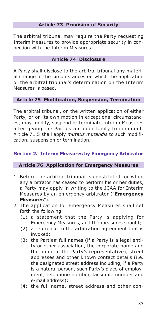## **Article 73 Provision of Security**

The arbitral tribunal may require the Party requesting Interim Measures to provide appropriate security in connection with the Interim Measures.

#### **Article 74 Disclosure**

A Party shall disclose to the arbitral tribunal any material change in the circumstances on which the application or the arbitral tribunal's determination on the Interim Measures is based.

## **Article 75 Modification, Suspension, Termination**

The arbitral tribunal, on the written application of either Party, or on its own motion in exceptional circumstances, may modify, suspend or terminate Interim Measures after giving the Parties an opportunity to comment. Article 71.5 shall apply *mutatis mutandis* to such modification, suspension or termination.

## **Section 2. Interim Measures by Emergency Arbitrator**

#### **Article 76 Application for Emergency Measures**

- 1 Before the arbitral tribunal is constituted, or when any arbitrator has ceased to perform his or her duties, a Party may apply in writing to the JCAA for Interim Measures by an emergency arbitrator ("**Emergency Measures**").
- 2 The application for Emergency Measures shall set forth the following:
	- (1) a statement that the Party is applying for Emergency Measures, and the measures sought;
	- (2) a reference to the arbitration agreement that is invoked;
	- (3) the Parties' full names (if a Party is a legal entity or other association, the corporate name and the name of the Party's representative), street addresses and other known contact details (i.e. the designated street address including, if a Party is a natural person, such Party's place of employment, telephone number, facsimile number and e-mail address);
	- (4) the full name, street address and other con-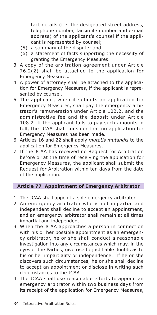tact details (i.e. the designated street address, telephone number, facsimile number and e-mail address) of the applicant's counsel if the applicant is represented by counsel;

- (5) a summary of the dispute; and
- (6) a statement of facts supporting the necessity of granting the Emergency Measures.
- 3 A copy of the arbitration agreement under Article 76.2(2) shall be attached to the application for Emergency Measures.
- 4 A power of attorney shall be attached to the application for Emergency Measures, if the applicant is represented by counsel.
- 5 The applicant, when it submits an application for Emergency Measures, shall pay the emergency arbitrator's remuneration under Article 102.2, and the administrative fee and the deposit under Article 108.2. If the applicant fails to pay such amounts in full, the JCAA shall consider that no application for Emergency Measures has been made.
- 6 Articles 16 and 22 shall apply *mutatis mutandis* to the application for Emergency Measures.
- 7 If the JCAA has received no Request for Arbitration before or at the time of receiving the application for Emergency Measures, the applicant shall submit the Request for Arbitration within ten days from the date of the application.

## **Article 77 Appointment of Emergency Arbitrator**

- 1 The JCAA shall appoint a sole emergency arbitrator.
- 2 An emergency arbitrator who is not impartial and independent shall decline to accept an appointment, and an emergency arbitrator shall remain at all times impartial and independent.
- 3 When the JCAA approaches a person in connection with his or her possible appointment as an emergency arbitrator, he or she shall conduct a reasonable investigation into any circumstances which may, in the eyes of the Parties, give rise to justifiable doubts as to his or her impartiality or independence. If he or she discovers such circumstances, he or she shall decline to accept an appointment or disclose in writing such circumstances to the JCAA.
- 4 The JCAA shall use reasonable efforts to appoint an emergency arbitrator within two business days from its receipt of the application for Emergency Measures,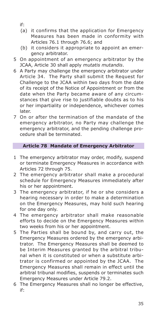if:

- (a) it confirms that the application for Emergency Measures has been made in conformity with Articles 76.1 through 76.6; and
- (b) it considers it appropriate to appoint an emergency arbitrator.
- 5 On appointment of an emergency arbitrator by the JCAA, Article 30 shall apply *mutatis mutandis*.
- 6 A Party may challenge the emergency arbitrator under Article 34. The Party shall submit the Request for Challenge to the JCAA within two days from the date of its receipt of the Notice of Appointment or from the date when the Party became aware of any circumstances that give rise to justifiable doubts as to his or her impartiality or independence, whichever comes later.
- 7 On or after the termination of the mandate of the emergency arbitrator, no Party may challenge the emergency arbitrator, and the pending challenge procedure shall be terminated.

## **Article 78 Mandate of Emergency Arbitrator**

- 1 The emergency arbitrator may order, modify, suspend or terminate Emergency Measures in accordance with Articles 72 through 75.
- 2 The emergency arbitrator shall make a procedural schedule for Emergency Measures immediately after his or her appointment.
- 3 The emergency arbitrator, if he or she considers a hearing necessary in order to make a determination on the Emergency Measures, may hold such hearing for one day only.
- 4 The emergency arbitrator shall make reasonable efforts to decide on the Emergency Measures within two weeks from his or her appointment.
- 5 The Parties shall be bound by, and carry out, the Emergency Measures ordered by the emergency arbitrator. The Emergency Measures shall be deemed to be Interim Measures granted by the arbitral tribunal when it is constituted or when a substitute arbitrator is confirmed or appointed by the JCAA. The Emergency Measures shall remain in effect until the arbitral tribunal modifies, suspends or terminates such Emergency Measures under Article 79.2.
- 6 The Emergency Measures shall no longer be effective, if: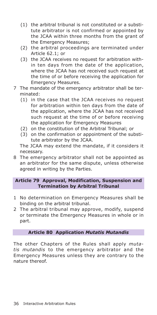- (1) the arbitral tribunal is not constituted or a substitute arbitrator is not confirmed or appointed by the JCAA within three months from the grant of the Emergency Measures;
- (2) the arbitral proceedings are terminated under Article 62.1; or
- (3) the JCAA receives no request for arbitration within ten days from the date of the application, where the JCAA has not received such request at the time of or before receiving the application for Emergency Measures.
- 7 The mandate of the emergency arbitrator shall be terminated:
	- (1) in the case that the JCAA receives no request for arbitration within ten days from the date of the application, where the JCAA has not received such request at the time of or before receiving the application for Emergency Measures
	- (2) on the constitution of the Arbitral Tribunal; or
	- (3) on the confirmation or appointment of the substitute arbitrator by the JCAA.

The JCAA may extend the mandate, if it considers it necessary.

8 The emergency arbitrator shall not be appointed as an arbitrator for the same dispute, unless otherwise agreed in writing by the Parties.

## **Article 79 Approval, Modification, Suspension and Termination by Arbitral Tribunal**

- 1 No determination on Emergency Measures shall be binding on the arbitral tribunal.
- 2 The arbitral tribunal may approve, modify, suspend or terminate the Emergency Measures in whole or in part.

## **Article 80 Application** *Mutatis Mutandis*

The other Chapters of the Rules shall apply *mutatis mutandis* to the emergency arbitrator and the Emergency Measures unless they are contrary to the nature thereof.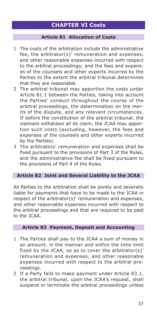## **CHAPTER VI Costs**

## **Article 81 Allocation of Costs**

- 1 The costs of the arbitration include the administrative fee, the arbitrator(s)' remuneration and expenses, and other reasonable expenses incurred with respect to the arbitral proceedings; and the fees and expenses of the counsels and other experts incurred by the Parties to the extent the arbitral tribunal determines that they are reasonable.
- 2 The arbitral tribunal may apportion the costs under Article 81.1 between the Parties, taking into account the Parties' conduct throughout the course of the arbitral proceedings, the determination on the merits of the dispute, and any relevant circumstances. If before the constitution of the arbitral tribunal, the claimant withdraws all its claim, the JCAA may apportion such costs (excluding, however, the fees and expenses of the counsels and other experts incurred by the Parties).
- 3 The arbitrators' remuneration and expenses shall be fixed pursuant to the provisions of Part 3 of the Rules, and the administrative fee shall be fixed pursuant to the provisions of Part 4 of the Rules.

#### **Article 82 Joint and Several Liability to the JCAA**

All Parties to the arbitration shall be jointly and severally liable for payments that have to be made to the JCAA in respect of the arbitrator(s)' remuneration and expenses, and other reasonable expenses incurred with respect to the arbitral proceedings and that are required to be paid to the JCAA.

## **Article 83 Payment, Deposit and Accounting**

- 1 The Parties shall pay to the JCAA a sum of money in an amount, in the manner and within the time limit fixed by the JCAA, so as to cover the arbitrator(s)' remuneration and expenses, and other reasonable expenses incurred with respect to the arbitral proceedings.
- 2 If a Party fails to make payment under Article 83.1, the arbitral tribunal, upon the JCAA's request, shall suspend or terminate the arbitral proceedings unless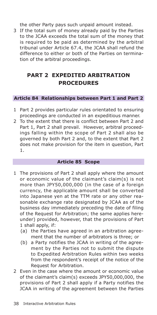the other Party pays such unpaid amount instead.

3 If the total sum of money already paid by the Parties to the JCAA exceeds the total sum of the money that is required to be paid as determined by the arbitral tribunal under Article 67.4, the JCAA shall refund the difference to either or both of the Parties on termination of the arbitral proceedings.

# **PART 2 EXPEDITED ARBITRATION PROCEDURES**

## **Article 84 Relationships between Part 1 and Part 2**

- 1 Part 2 provides particular rules orientated to ensuring proceedings are conducted in an expeditious manner.
- 2 To the extent that there is conflict between Part 2 and Part 1, Part 2 shall prevail. However, arbitral proceedings falling within the scope of Part 2 shall also be governed by both Part 2 and, to the extent that Part 2 does not make provision for the item in question, Part 1.

#### **Article 85 Scope**

- 1 The provisions of Part 2 shall apply where the amount or economic value of the claimant's claim(s) is not more than JPY50,000,000 (in the case of a foreign currency, the applicable amount shall be converted into Japanese yen at the TTM rate or any other reasonable exchange rate designated by JCAA as of the business day immediately preceding the date of filing of the Request for Arbitration; the same applies hereunder) provided, however, that the provisions of Part 1 shall apply, if:
	- (a) the Parties have agreed in an arbitration agreement that the number of arbitrators is three; or
	- (b) a Party notifies the JCAA in writing of the agreement by the Parties not to submit the dispute to Expedited Arbitration Rules within two weeks from the respondent's receipt of the notice of the Request for Arbitration.
- 2 Even in the case where the amount or economic value of the claimant's claim(s) exceeds JPY50,000,000, the provisions of Part 2 shall apply if a Party notifies the JCAA in writing of the agreement between the Parties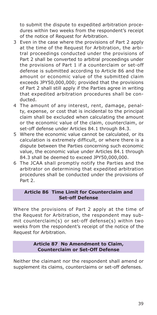to submit the dispute to expedited arbitration procedures within two weeks from the respondent's receipt of the notice of Request for Arbitration.

- 3 Even in the case where the provisions of Part 2 apply at the time of the Request for Arbitration, the arbitral proceedings conducted under the provisions of Part 2 shall be converted to arbitral proceedings under the provisions of Part 1 if a counterclaim or set-off defense is submitted according to Article 86 and the amount or economic value of the submitted claim exceeds JPY50,000,000; provided that the provisions of Part 2 shall still apply if the Parties agree in writing that expedited arbitration procedures shall be conducted.
- 4 The amount of any interest, rent, damage, penalty, expense, or cost that is incidental to the principal claim shall be excluded when calculating the amount or the economic value of the claim, counterclaim, or set-off defense under Articles 84.1 through 84.3.
- 5 Where the economic value cannot be calculated, or its calculation is extremely difficult, or where there is a dispute between the Parties concerning such economic value, the economic value under Articles 84.1 through 84.3 shall be deemed to exceed JPY50,000,000.
- 6 The JCAA shall promptly notify the Parties and the arbitrator on determining that expedited arbitration procedures shall be conducted under the provisions of Part 2.

## **Article 86 Time Limit for Counterclaim and Set-off Defense**

Where the provisions of Part 2 apply at the time of the Request for Arbitration, the respondent may submit counterclaim(s) or set-off defense(s) within two weeks from the respondent's receipt of the notice of the Request for Arbitration.

## **Article 87 No Amendment to Claim, Counterclaim or Set-Off Defense**

Neither the claimant nor the respondent shall amend or supplement its claims, counterclaims or set-off defenses.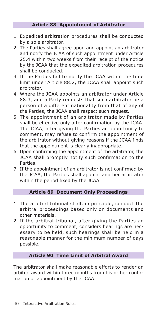## **Article 88 Appointment of Arbitrator**

- 1 Expedited arbitration procedures shall be conducted by a sole arbitrator.
- 2 The Parties shall agree upon and appoint an arbitrator and notify the JCAA of such appointment under Article 25.4 within two weeks from their receipt of the notice by the JCAA that the expedited arbitration procedures shall be conducted.
- 3 If the Parties fail to notify the JCAA within the time limit under Article 88.2, the JCAA shall appoint such arbitrator.
- 4 Where the JCAA appoints an arbitrator under Article 88.3, and a Party requests that such arbitrator be a person of a different nationality from that of any of the Parties, the JCAA shall respect such request.
- 5 The appointment of an arbitrator made by Parties shall be effective only after confirmation by the JCAA. The JCAA, after giving the Parties an opportunity to comment, may refuse to confirm the appointment of the arbitrator without giving reasons if the JCAA finds that the appointment is clearly inappropriate.
- 6 Upon confirming the appointment of the arbitrator, the JCAA shall promptly notify such confirmation to the Parties.
- 7 If the appointment of an arbitrator is not confirmed by the JCAA, the Parties shall appoint another arbitrator within the period fixed by the JCAA.

#### **Article 89 Document Only Proceedings**

- 1 The arbitral tribunal shall, in principle, conduct the arbitral proceedings based only on documents and other materials.
- 2 If the arbitral tribunal, after giving the Parties an opportunity to comment, considers hearings are necessary to be held, such hearings shall be held in a reasonable manner for the minimum number of days possible.

## **Article 90 Time Limit of Arbitral Award**

The arbitrator shall make reasonable efforts to render an arbitral award within three months from his or her confirmation or appointment by the JCAA.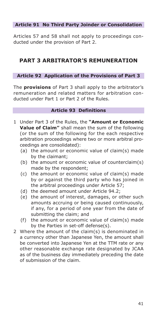## **Article 91 No Third Party Joinder or Consolidation**

Articles 57 and 58 shall not apply to proceedings conducted under the provision of Part 2.

# **PART 3 ARBITRATOR'S REMUNERATION**

## **Article 92 Application of the Provisions of Part 3**

The **provisions** of Part 3 shall apply to the arbitrator's remuneration and related matters for arbitration conducted under Part 1 or Part 2 of the Rules.

## **Article 93 Definitions**

- 1 Under Part 3 of the Rules, the **"Amount or Economic Value of Claim"** shall mean the sum of the following (or the sum of the following for the each respective arbitration proceedings where two or more arbitral proceedings are consolidated):
	- (a) the amount or economic value of claim(s) made by the claimant;
	- (b) the amount or economic value of counterclaim(s) made by the respondent;
	- (c) the amount or economic value of claim(s) made by or against the third party who has joined in the arbitral proceedings under Article 57;
	- (d) the deemed amount under Article 94.2;
	- (e) the amount of interest, damages, or other such amounts accruing or being caused continuously, if any, for a period of one year from the date of submitting the claim; and
	- (f) the amount or economic value of claim(s) made by the Parties in set-off defense(s).
- 2 Where the amount of the claim(s) is denominated in a currency other than Japanese Yen, the amount shall be converted into Japanese Yen at the TTM rate or any other reasonable exchange rate designated by JCAA as of the business day immediately preceding the date of submission of the claim.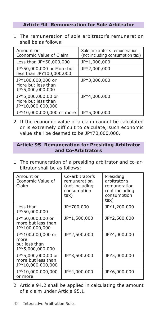## **Article 94 Remuneration for Sole Arbitrator**

1 The remuneration of sole arbitrator's remuneration shall be as follows:

| Amount or<br>Economic Value of Claim                          | Sole arbitrator's remuneration<br>(not including consumption tax) |
|---------------------------------------------------------------|-------------------------------------------------------------------|
| Less than JPY50,000,000                                       | JPY1,000,000                                                      |
| JPY50,000,000 or More but<br>less than JPY100,000,000         | JPY2,000,000                                                      |
| JPY100,000,000 or<br>More but less than<br>JPY5,000,000,000   | JPY3,000,000                                                      |
| JPY5,000,000,00 or<br>More but less than<br>JPY10,000,000,000 | JPY4,000,000                                                      |
| JPY10,000,000,000 or more                                     | JPY5,000,000                                                      |

2 If the economic value of a claim cannot be calculated or is extremely difficult to calculate, such economic value shall be deemed to be JPY70,000,000.

## **Article 95 Remuneration for Presiding Arbitrator and Co-Arbitrators**

1 The remuneration of a presiding arbitrator and co-arbitrator shall be as follows:

| Amount or<br>Economic Value of<br>Claim                        | Co-arbitrator's<br>remuneration<br>(not including<br>consumption<br>tax) | Presiding<br>arbitrator's<br>remuneration<br>(not including<br>consumption<br>tax) |
|----------------------------------------------------------------|--------------------------------------------------------------------------|------------------------------------------------------------------------------------|
| Less than<br>JPY50,000,000                                     | JPY700,000                                                               | JPY1,200,000                                                                       |
| JPY50,000,000 or<br>more but less than<br>JPY100,000,000       | JPY1,500,000                                                             | JPY2,500,000                                                                       |
| JPY100,000,000 or<br>more<br>but less than<br>JPY5,000,000,000 | JPY2,500,000                                                             | JPY4,000,000                                                                       |
| JPY5,000,000,00 or<br>more but less than<br>JPY10,000,000,000  | JPY3,500,000                                                             | JPY5,000,000                                                                       |
| JPY10,000,000,000<br>or more                                   | JPY4,000,000                                                             | JPY6,000,000                                                                       |

2 Article 94.2 shall be applied in calculating the amount of a claim under Article 95.1.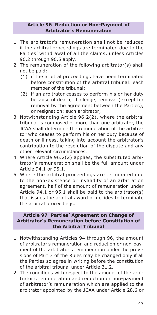#### **Article 96 Reduction or Non-Payment of Arbitrator's Remuneration**

- 1 The arbitrator's remuneration shall not be reduced if the arbitral proceedings are terminated due to the Parties' withdrawal of all the claims, unless Articles 96.2 through 96.5 apply.
- 2 The remuneration of the following arbitrator(s) shall not be paid:
	- (1) if the arbitral proceedings have been terminated before constitution of the arbitral tribunal: each member of the tribunal;
	- (2) if an arbitrator ceases to perform his or her duty because of death, challenge, removal (except for removal by the agreement between the Parties), or resignation: such arbitrator;
- 3 Notwithstanding Article 96.2(2), where the arbitral tribunal is composed of more than one arbitrator, the JCAA shall determine the remuneration of the arbitrator who ceases to perform his or her duty because of death or illness, taking into account the arbitrator's contribution to the resolution of the dispute and any other relevant circumstances.
- 4 Where Article 96.2(2) applies, the substituted arbitrator's remuneration shall be the full amount under Article 94.1 or 95.1.
- 5 Where the arbitral proceedings are terminated due to the non-existence or invalidity of an arbitration agreement, half of the amount of remuneration under Article 94.1 or 95.1 shall be paid to the arbitrator(s) that issues the arbitral award or decides to terminate the arbitral proceedings.

## **Article 97 Parties' Agreement on Change of Arbitrator's Remuneration before Constitution of the Arbitral Tribunal**

- 1 Notwithstanding Articles 94 through 96, the amount of arbitrator's remuneration and reduction or non-payment of the arbitrator's remuneration under the provisions of Part 3 of the Rules may be changed only if all the Parties so agree in writing before the constitution of the arbitral tribunal under Article 31.2.
- 2 The conditions with respect to the amount of the arbitrator's remuneration and reduction or non-payment of arbitrator's remuneration which are applied to the arbitrator appointed by the JCAA under Article 28.6 or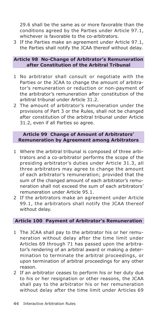29.6 shall be the same as or more favorable than the conditions agreed by the Parties under Article 97.1, whichever is favorable to the co-arbitrators.

3 If the Parties make an agreement under Article 97.1, the Parties shall notify the JCAA thereof without delay.

#### **Article 98 No-Change of Arbitrator's Remuneration after Constitution of the Arbitral Tribunal**

- 1 No arbitrator shall consult or negotiate with the Parties or the JCAA to change the amount of arbitrator's remuneration or reduction or non-payment of the arbitrator's remuneration after constitution of the arbitral tribunal under Article 31.2.
- 2 The amount of arbitrator's remuneration under the provisions of Part 3 or the Rules, shall not be changed after constitution of the arbitral tribunal under Article 31.2, even if all Parties so agree.

## **Article 99 Change of Amount of Arbitrators' Remuneration by Agreement among Arbitrators**

- 1 Where the arbitral tribunal is composed of three arbitrators and a co-arbitrator performs the scope of the presiding arbitrator's duties under Article 31.3, all three arbitrators may agree to change the amount of each arbitrator's remuneration; provided that the sum of the changed amount of each arbitrator's remuneration shall not exceed the sum of each arbitrators' remuneration under Article 95.1.
- 2 If the arbitrators make an agreement under Article 99.1, the arbitrators shall notify the JCAA thereof without delay.

#### **Article 100 Payment of Arbitrator's Remuneration**

- 1 The JCAA shall pay to the arbitrator his or her remuneration without delay after the time limit under Articles 69 through 71 has passed upon the arbitrator's rendering of an arbitral award or making a determination to terminate the arbitral proceedings, or upon termination of arbitral proceedings for any other reason.
- 2 If an arbitrator ceases to perform his or her duty due to his or her resignation or other reasons, the JCAA shall pay to the arbitrator his or her remuneration without delay after the time limit under Articles 69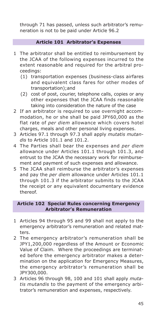through 71 has passed, unless such arbitrator's remuneration is not to be paid under Article 96.2

## **Article 101 Arbitrator's Expenses**

- 1 The arbitrator shall be entitled to reimbursement by the JCAA of the following expenses incurred to the extent reasonable and required for the arbitral proceedings:
	- (1) transportation expenses (business-class airfares and equivalent class fares for other modes of transportation);and
	- (2) cost of post, courier, telephone calls, copies or any other expenses that the JCAA finds reasonable taking into consideration the nature of the case
- 2 If an arbitrator is required to use overnight accommodation, he or she shall be paid JPY60,000 as the flat rate of *per diem* allowance which covers hotel charges, meals and other personal living expenses.
- 3 Articles 97.1 through 97.3 shall apply *mutatis mutandis* to Article 101.1 and 101.2.
- 4 The Parties shall bear the expenses and *per diem* allowance under Articles 101.1 through 101.3, and entrust to the JCAA the necessary work for reimbursement and payment of such expenses and allowance.
- 5 The JCAA shall reimburse the arbitrator's expenses and pay the *per diem* allowance under Articles 101.1 through 101.3 if the arbitrator submits to the JCAA the receipt or any equivalent documentary evidence thereof.

## **Article 102 Special Rules concerning Emergency Arbitrator's Remuneration**

- 1 Articles 94 through 95 and 99 shall not apply to the emergency arbitrator's remuneration and related matters.
- 2 The emergency arbitrator's remuneration shall be JPY1,200,000 regardless of the Amount or Economic Value of Claim. Where the proceedings are terminated before the emergency arbitrator makes a determination on the application for Emergency Measures, the emergency arbitrator's remuneration shall be JPY300,000.
- 3 Articles 96 through 98, 100 and 101 shall apply *mutatis mutandis* to the payment of the emergency arbitrator's remuneration and expenses, respectively.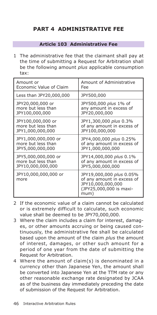# **PART 4 ADMINISTRATIVE FEE**

## **Article 103 Administrative Fee**

1 The administrative fee that the claimant shall pay at the time of submitting a Request for Arbitration shall be the following amount *plus* applicable consumption tax:

| Amount or                    | Amount of Administrative                                                                                       |  |
|------------------------------|----------------------------------------------------------------------------------------------------------------|--|
| Economic Value of Claim      | Fee                                                                                                            |  |
| Less than JPY20,000,000      | JPY500,000                                                                                                     |  |
| JPY20,000,000 or             | JPY500,000 plus 1% of                                                                                          |  |
| more but less than           | any amount in excess of                                                                                        |  |
| JPY100,000,000               | JPY20,000,000                                                                                                  |  |
| JPY100,000,000 or            | JPY1,300,000 plus 0.3%                                                                                         |  |
| more but less than           | of any amount in excess of                                                                                     |  |
| JPY1,000,000,000             | JPY100,000,000                                                                                                 |  |
| JPY1,000,000,000 or          | JPY4,000,000 plus 0.25%                                                                                        |  |
| more but less than           | of any amount in excess of                                                                                     |  |
| JPY5,000,000,000             | JPY1,000,000,000                                                                                               |  |
| JPY5,000,000,000 or          | JPY14,000,000 plus 0.1%                                                                                        |  |
| more but less than           | of any amount in excess of                                                                                     |  |
| JPY10,000,000,000            | JPY5,000,000,000                                                                                               |  |
| JPY10,000,000,000 or<br>more | JPY19,000,000 plus 0.05%<br>of any amount in excess of<br>JPY10,000,000,000<br>(JPY25,000,000 is maxi-<br>mum) |  |

- 2 If the economic value of a claim cannot be calculated or is extremely difficult to calculate, such economic value shall be deemed to be JPY70,000,000.
- 3 Where the claim includes a claim for interest, damages, or other amounts accruing or being caused continuously, the administrative fee shall be calculated based upon the amount of the claim *plus* the amount of interest, damages, or other such amount for a period of one year from the date of submitting the Request for Arbitration.
- 4 Where the amount of claim(s) is denominated in a currency other than Japanese Yen, the amount shall be converted into Japanese Yen at the TTM rate or any other reasonable exchange rate designated by JCAA as of the business day immediately preceding the date of submission of the Request for Arbitration.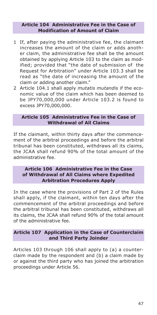#### **Article 104 Administrative Fee in the Case of Modification of Amount of Claim**

- 1 If, after paying the administrative fee, the claimant increases the amount of the claim or adds another claim, the administrative fee shall be the amount obtained by applying Article 103 to the claim as modified; provided that "the date of submission of the Request for Arbitration" under Article 103.3 shall be read as "the date of increasing the amount of the claim or adding another claim."
- 2 Article 104.1 shall apply *mutatis mutandis* if the economic value of the claim which has been deemed to be JPY70,000,000 under Article 103.2 is found to excess JPY70,000,000.

## **Article 105 Administrative Fee in the Case of Withdrawal of All Claims**

If the claimant, within thirty days after the commencement of the arbitral proceedings and before the arbitral tribunal has been constituted, withdraws all its claims, the JCAA shall refund 90% of the total amount of the administrative fee.

## **Article 106 Administrative Fee in the Case of Withdrawal of All Claims where Expedited Arbitration Procedures Apply**

In the case where the provisions of Part 2 of the Rules shall apply, if the claimant, within ten days after the commencement of the arbitral proceedings and before the arbitral tribunal has been constituted, withdraws all its claims, the JCAA shall refund 90% of the total amount of the administrative fee.

## **Article 107 Application in the Case of Counterclaim and Third Party Joinder**

Articles 103 through 106 shall apply to (a) a counterclaim made by the respondent and (b) a claim made by or against the third party who has joined the arbitration proceedings under Article 56.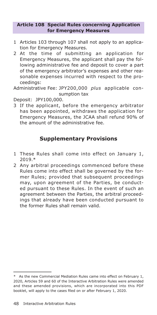## **Article 108 Special Rules concerning Application for Emergency Measures**

- 1 Articles 103 through 107 shall not apply to an application for Emergency Measures.
- 2 At the time of submitting an application for Emergency Measures, the applicant shall pay the following administrative fee and deposit to cover a part of the emergency arbitrator's expenses and other reasonable expenses incurred with respect to the proceedings:

Administrative Fee: JPY200,000 *plus* applicable consumption tax

Deposit: JPY100,000.

3 If the applicant, before the emergency arbitrator has been appointed, withdraws the application for Emergency Measures, the JCAA shall refund 90% of the amount of the administrative fee.

# **Supplementary Provisions**

- 1 These Rules shall come into effect on January 1, 2019.\*
- 2 Any arbitral proceedings commenced before these Rules come into effect shall be governed by the former Rules; provided that subsequent proceedings may, upon agreement of the Parties, be conducted pursuant to these Rules. In the event of such an agreement between the Parties, the arbitral proceedings that already have been conducted pursuant to the former Rules shall remain valid.

<sup>\*</sup> As the new Commercial Mediation Rules came into effect on February 1, 2020, Articles 59 and 60 of the Interactive Arbitration Rules were amended and these amended provisions, which are incorporated into this PDF booklet, will apply to the cases filed on or after February 1, 2020.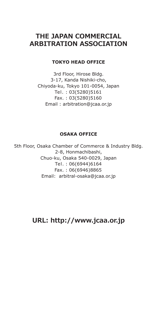# **THE JAPAN COMMERCIAL ARBITRATION ASSOCIATION**

## **TOKYO HEAD OFFICE**

3rd Floor, Hirose Bldg. 3-17, Kanda Nishiki-cho, Chiyoda-ku, Tokyo 101-0054, Japan Tel. : 03(5280)5161 Fax. : 03(5280)5160 Email : arbitration@jcaa.or.jp

## **OSAKA OFFICE**

5th Floor, Osaka Chamber of Commerce & Industry Bldg. 2-8, Honmachibashi, Chuo-ku, Osaka 540-0029, Japan Tel. : 06(6944)6164 Fax. : 06(6946)8865 Email: arbitral-osaka@jcaa.or.jp

**URL: http://www.jcaa.or.jp**